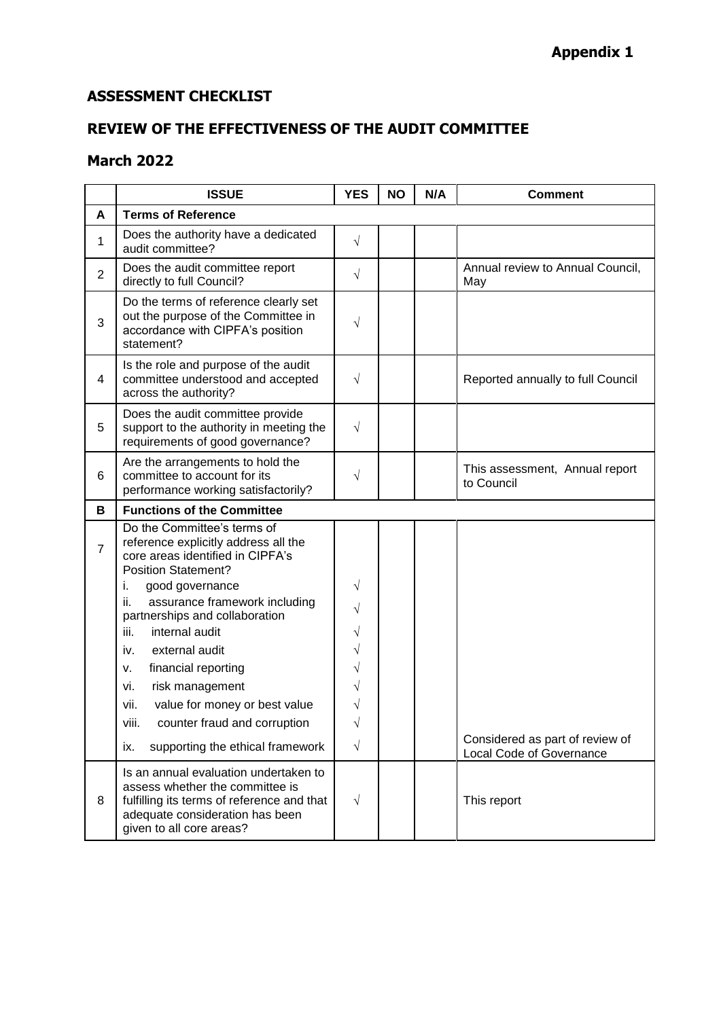## **ASSESSMENT CHECKLIST**

## **REVIEW OF THE EFFECTIVENESS OF THE AUDIT COMMITTEE**

## **March 2022**

|                | <b>ISSUE</b>                                                                                                                                                                          | <b>YES</b> | <b>NO</b> | N/A | <b>Comment</b>                               |
|----------------|---------------------------------------------------------------------------------------------------------------------------------------------------------------------------------------|------------|-----------|-----|----------------------------------------------|
| A              | <b>Terms of Reference</b>                                                                                                                                                             |            |           |     |                                              |
| 1              | Does the authority have a dedicated<br>audit committee?                                                                                                                               | $\sqrt{}$  |           |     |                                              |
| $\overline{2}$ | Does the audit committee report<br>directly to full Council?                                                                                                                          | $\sqrt{}$  |           |     | Annual review to Annual Council,<br>May      |
| 3              | Do the terms of reference clearly set<br>out the purpose of the Committee in<br>accordance with CIPFA's position<br>statement?                                                        | $\sqrt{}$  |           |     |                                              |
| 4              | Is the role and purpose of the audit<br>committee understood and accepted<br>across the authority?                                                                                    | $\sqrt{}$  |           |     | Reported annually to full Council            |
| 5              | Does the audit committee provide<br>support to the authority in meeting the<br>requirements of good governance?                                                                       | $\sqrt{ }$ |           |     |                                              |
| 6              | Are the arrangements to hold the<br>committee to account for its<br>performance working satisfactorily?                                                                               | $\sqrt{}$  |           |     | This assessment, Annual report<br>to Council |
| В              | <b>Functions of the Committee</b>                                                                                                                                                     |            |           |     |                                              |
| $\overline{7}$ | Do the Committee's terms of<br>reference explicitly address all the<br>core areas identified in CIPFA's<br><b>Position Statement?</b>                                                 |            |           |     |                                              |
|                | i.<br>good governance                                                                                                                                                                 | $\sqrt{}$  |           |     |                                              |
|                | ii.<br>assurance framework including<br>partnerships and collaboration                                                                                                                | $\sqrt{}$  |           |     |                                              |
|                | iii.<br>internal audit                                                                                                                                                                | V          |           |     |                                              |
|                | external audit<br>iv.                                                                                                                                                                 | V          |           |     |                                              |
|                | financial reporting<br>v.                                                                                                                                                             | V          |           |     |                                              |
|                | risk management<br>vi.                                                                                                                                                                |            |           |     |                                              |
|                | vii.<br>value for money or best value<br>counter fraud and corruption<br>viii.                                                                                                        | V          |           |     |                                              |
|                |                                                                                                                                                                                       |            |           |     | Considered as part of review of              |
|                | supporting the ethical framework<br>ix.                                                                                                                                               | $\sqrt{}$  |           |     | Local Code of Governance                     |
| 8              | Is an annual evaluation undertaken to<br>assess whether the committee is<br>fulfilling its terms of reference and that<br>adequate consideration has been<br>given to all core areas? | $\sqrt{}$  |           |     | This report                                  |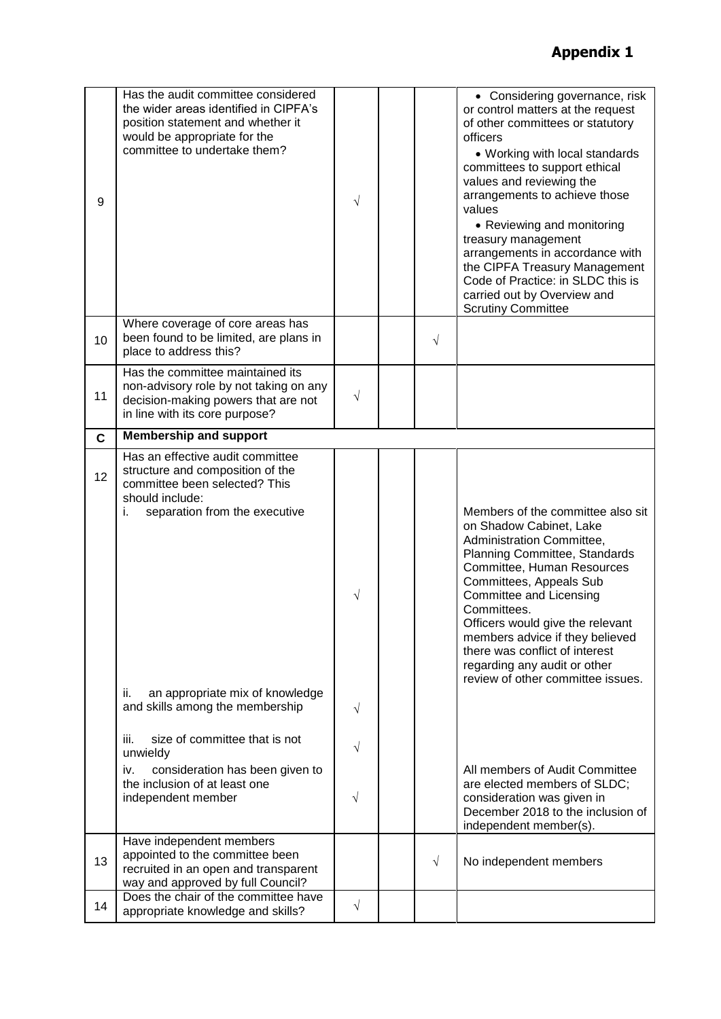| 9           | Has the audit committee considered<br>the wider areas identified in CIPFA's<br>position statement and whether it<br>would be appropriate for the<br>committee to undertake them? | $\sqrt{}$ |           | • Considering governance, risk<br>or control matters at the request<br>of other committees or statutory<br>officers<br>• Working with local standards<br>committees to support ethical<br>values and reviewing the<br>arrangements to achieve those<br>values<br>• Reviewing and monitoring<br>treasury management<br>arrangements in accordance with<br>the CIPFA Treasury Management<br>Code of Practice: in SLDC this is<br>carried out by Overview and<br><b>Scrutiny Committee</b> |
|-------------|----------------------------------------------------------------------------------------------------------------------------------------------------------------------------------|-----------|-----------|-----------------------------------------------------------------------------------------------------------------------------------------------------------------------------------------------------------------------------------------------------------------------------------------------------------------------------------------------------------------------------------------------------------------------------------------------------------------------------------------|
| 10          | Where coverage of core areas has<br>been found to be limited, are plans in<br>place to address this?                                                                             |           | $\sqrt{}$ |                                                                                                                                                                                                                                                                                                                                                                                                                                                                                         |
| 11          | Has the committee maintained its<br>non-advisory role by not taking on any<br>decision-making powers that are not<br>in line with its core purpose?                              | $\sqrt{}$ |           |                                                                                                                                                                                                                                                                                                                                                                                                                                                                                         |
| $\mathbf c$ | <b>Membership and support</b>                                                                                                                                                    |           |           |                                                                                                                                                                                                                                                                                                                                                                                                                                                                                         |
| 12          | Has an effective audit committee<br>structure and composition of the<br>committee been selected? This<br>should include:<br>i.<br>separation from the executive                  | $\sqrt{}$ |           | Members of the committee also sit<br>on Shadow Cabinet, Lake<br>Administration Committee,<br>Planning Committee, Standards<br>Committee, Human Resources<br>Committees, Appeals Sub<br>Committee and Licensing<br>Committees.<br>Officers would give the relevant<br>members advice if they believed<br>there was conflict of interest<br>regarding any audit or other<br>review of other committee issues.                                                                             |
|             | an appropriate mix of knowledge<br>ii.<br>and skills among the membership<br>iii.<br>size of committee that is not                                                               | V         |           |                                                                                                                                                                                                                                                                                                                                                                                                                                                                                         |
|             | unwieldy                                                                                                                                                                         | $\sqrt{}$ |           |                                                                                                                                                                                                                                                                                                                                                                                                                                                                                         |
|             | consideration has been given to<br>iv.<br>the inclusion of at least one<br>independent member                                                                                    | $\sqrt{}$ |           | All members of Audit Committee<br>are elected members of SLDC;<br>consideration was given in<br>December 2018 to the inclusion of<br>independent member(s).                                                                                                                                                                                                                                                                                                                             |
| 13          | Have independent members<br>appointed to the committee been<br>recruited in an open and transparent<br>way and approved by full Council?                                         |           | $\sqrt{}$ | No independent members                                                                                                                                                                                                                                                                                                                                                                                                                                                                  |
| 14          | Does the chair of the committee have<br>appropriate knowledge and skills?                                                                                                        | $\sqrt{}$ |           |                                                                                                                                                                                                                                                                                                                                                                                                                                                                                         |